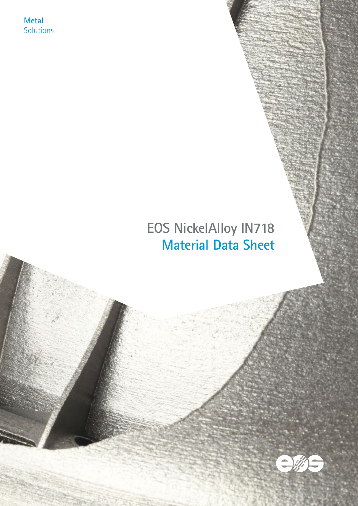**Metal** Solutions

# **EOS NickelAlloy IN718 Material Data Sheet**

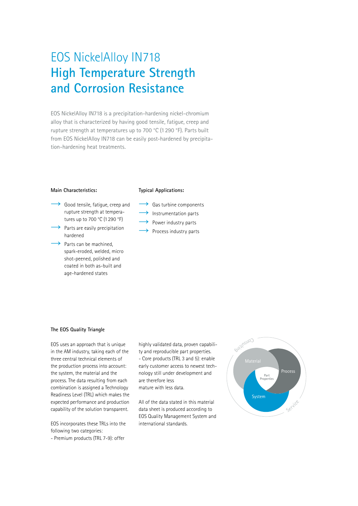## EOS NickelAlloy IN718 **High Temperature Strength and Corrosion Resistance**

EOS NickelAlloy IN718 is a precipitation-hardening nickel-chromium alloy that is characterized by having good tensile, fatigue, creep and rupture strength at temperatures up to 700 °C (1290 °F). Parts built from EOS NickelAlloy IN718 can be easily post-hardened by precipitation-hardening heat treatments.

#### **Main Characteristics:**

#### **Typical Applications:**

- Good tensile, fatigue, creep and rupture strength at temperatures up to 700 °C (1 290 °F)
- $\rightarrow$  Parts are easily precipitation hardened
- $\rightarrow$  Parts can be machined, spark-eroded, welded, micro shot-peened, polished and coated in both as-built and age-hardened states
- $\rightarrow$  Gas turbine components
- $\rightarrow$  Instrumentation parts
- Power industry parts
- ◆ Process industry parts

#### **The EOS Quality Triangle**

EOS uses an approach that is unique in the AM industry, taking each of the three central technical elements of the production process into account: the system, the material and the process. The data resulting from each combination is assigned a Technology Readiness Level (TRL) which makes the expected performance and production capability of the solution transparent.

EOS incorporates these TRLs into the following two categories:

- Premium products (TRL 7-9): offer

highly validated data, proven capability and reproducible part properties. - Core products (TRL 3 and 5): enable early customer access to newest technology still under development and are therefore less mature with less data.

All of the data stated in this material data sheet is produced according to EOS Quality Management System and international standards.

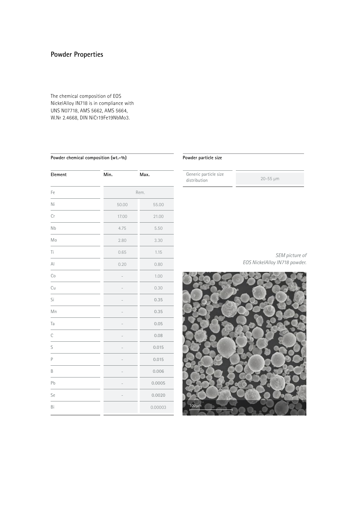## **Powder Properties**

The chemical composition of EOS NickelAlloy IN718 is in compliance with UNS N07718, AMS 5662, AMS 5664, W.Nr 2.4668, DIN NiCr19Fe19NbMo3.

#### **Powder chemical composition (wt.-%)**

| Element      | Min.  | Max.    |
|--------------|-------|---------|
| Fe           |       | Rem.    |
| Ni           | 50.00 | 55.00   |
| Cr           | 17.00 | 21.00   |
| Nb           | 4.75  | 5.50    |
| Mo           | 2.80  | 3.30    |
| Τi           | 0.65  | 1.15    |
| $\mathsf{A}$ | 0.20  | 0.80    |
| Co           |       | 1.00    |
| Cu           |       | 0.30    |
| Si           |       | 0.35    |
| Mn           |       | 0.35    |
| Ta           |       | 0.05    |
| $\mathsf{C}$ |       | 0.08    |
| S            |       | 0.015   |
| P            |       | 0.015   |
| B            |       | 0.006   |
| Pb           |       | 0.0005  |
| Se           |       | 0.0020  |
| Bi           |       | 0.00003 |

#### **Powder particle size**

Generic particle size distribution 20-55 µm

*SEM picture of EOS NickelAlloy IN718 powder.* 

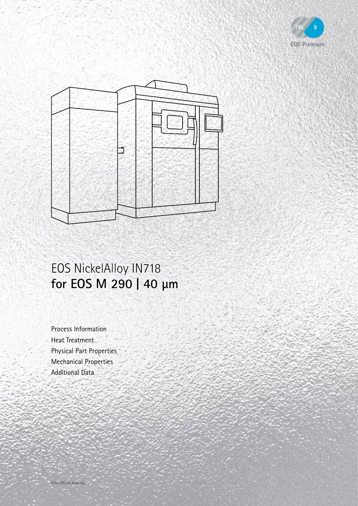



# EOS NickelAlloy IN718 **for EOS M 290 | 40 µm**

Process Information Heat Treatment Physical Part Properties Mechanical Properties Additional Data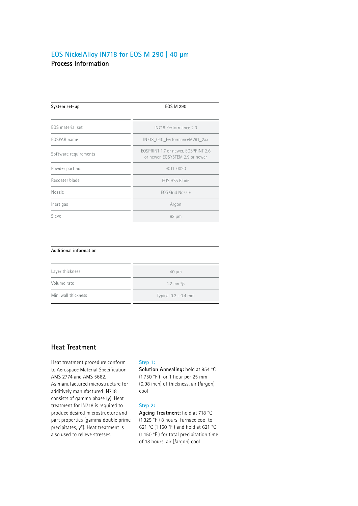### **Process Information EOS NickelAlloy IN718 for EOS M 290 | 40 µm**

| System set-up         | <b>EOS M 290</b>                                                       |
|-----------------------|------------------------------------------------------------------------|
| EOS material set      | IN718 Performance 2.0                                                  |
| EOSPAR name           | IN718 040 PerformanceM291 2xx                                          |
| Software requirements | EOSPRINT 1.7 or newer, EOSPRINT 2.6<br>or newer, EOSYSTEM 2.9 or newer |
| Powder part no.       | 9011-0020                                                              |
| Recoater blade        | FOS HSS Blade                                                          |
| Nozzle                | FOS Grid Nozzle                                                        |
| Inert gas             | Argon                                                                  |
| Sieve                 | $63 \mu m$                                                             |

| Additional information |                               |
|------------------------|-------------------------------|
| Layer thickness        | $40 \mu m$                    |
| Volume rate            | $4.2 \, \text{mm}^3/\text{s}$ |
| Min. wall thickness    | Typical $0.3 - 0.4$ mm        |

## **Heat Treatment**

Heat treatment procedure conform to Aerospace Material Specification AMS 2774 and AMS 5662. As manufactured microstructure for additively manufactured IN718 consists of gamma phase (γ). Heat treatment for IN718 is required to produce desired microstructure and part properties (gamma double prime precipitates, γ"). Heat treatment is also used to relieve stresses.

#### **Step 1:**

**Solution Annealing:** hold at 954 °C (1 750 °F ) for 1 hour per 25 mm (0.98 inch) of thickness, air (/argon) cool

#### **Step 2:**

**Ageing Treatment:** hold at 718 °C (1 325 °F ) 8 hours, furnace cool to 621 °C (1 150 °F ) and hold at 621 °C (1 150 °F ) for total precipitation time of 18 hours, air (/argon) cool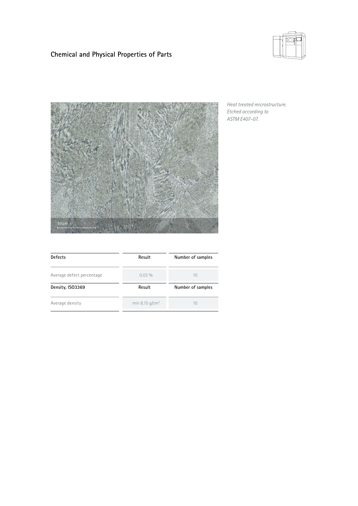

## **Chemical and Physical Properties of Parts**



*Heat treated microstructure. Etched according to ASTM E407-07.*

| <b>Defects</b>            | Result            | Number of samples |  |
|---------------------------|-------------------|-------------------|--|
| Average defect percentage | $0.03\%$          | 10                |  |
| Density, ISO3369          | Result            | Number of samples |  |
| Average density           | min 8.15 $q/cm^3$ | 10                |  |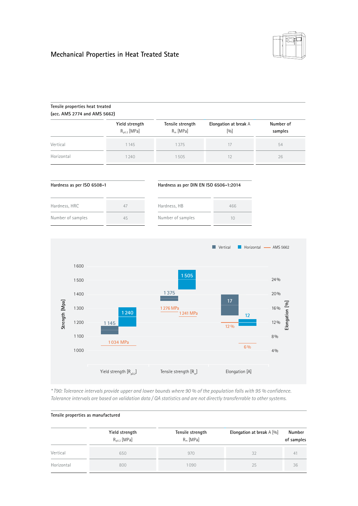

## **Mechanical Properties in Heat Treated State**

|                | Tensile properties heat treated<br>(acc. AMS 2774 and AMS 5662) |                                           |                                          |                                  |                                                         |
|----------------|-----------------------------------------------------------------|-------------------------------------------|------------------------------------------|----------------------------------|---------------------------------------------------------|
|                |                                                                 | Yield strength<br>R <sub>p0.2</sub> [MPa] | Tensile strength<br>R <sub>m</sub> [MPa] | Elongation at break A<br>$[0/0]$ | Number of<br>samples                                    |
| Vertical       |                                                                 | 1145                                      | 1375                                     | 17                               | 54                                                      |
| Horizontal     |                                                                 | 1240                                      | 1505                                     | 12                               | 26                                                      |
|                | Hardness as per ISO 6508-1                                      |                                           | Hardness as per DIN EN ISO 6506-1:2014   |                                  |                                                         |
| Hardness, HRC  |                                                                 | 47                                        | Hardness, HB                             | 466                              |                                                         |
|                | Number of samples                                               | 45                                        | Number of samples                        | 10                               |                                                         |
|                |                                                                 |                                           |                                          | Vertical                         | Horizontal - AMS 5662                                   |
| Strength [Mpa] | 1600<br>1500<br>1400<br>1300<br>1200<br>1100<br>1000            | 1240<br>1145<br>1034 MPa                  | 1505<br>1375<br>1276 MPa<br>1241 MPa     | 17<br>12<br>12 %<br>$6\%$        | 24%<br>20%<br>Elongation [%]<br>16%<br>12%<br>8 %<br>4% |

*\* T90: Tolerance intervals provide upper and lower bounds where 90 % of the population falls with 95 % confidence. Tolerance intervals are based on validation data / QA statistics and are not directly transferrable to other systems.*

|  |  |  | Tensile properties as manufactured |
|--|--|--|------------------------------------|
|--|--|--|------------------------------------|

|            | Yield strength<br>$R_{p0.2}$ [MPa] | Tensile strength<br>$R_m$ [MPa] | Elongation at break $A$ [%] | Number<br>of samples |
|------------|------------------------------------|---------------------------------|-----------------------------|----------------------|
| Vertical   | 650                                | 970                             | 32                          | $\uparrow$           |
| Horizontal | 800                                | 1090                            | 25                          | 36                   |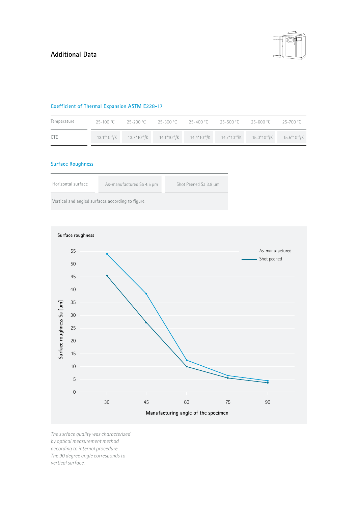

#### **Coefficient of Thermal Expansion ASTM E228-17**

| Temperature |  | $-25-100 °C$ $-25-200 °C$ $-25-300 °C$ $-25-400 °C$ $-25-500 °C$ $-25-600 °C$ $-25-700 °C$                             |  |  |
|-------------|--|------------------------------------------------------------------------------------------------------------------------|--|--|
| <b>CTE</b>  |  | $13.1*10^{-6}/K$ $13.7*10^{-6}/K$ $14.1*10^{-6}/K$ $14.4*10^{-6}/K$ $14.7*10^{-6}/K$ $15.0*10^{-6}/K$ $15.5*10^{-6}/K$ |  |  |

## **Surface Roughness**

| Horizontal surface | As-manufactured Sa 4.5 µm                        | Shot Peened Sa 3.8 µm |
|--------------------|--------------------------------------------------|-----------------------|
|                    | Vertical and angled surfaces according to figure |                       |



*The surface quality was characterized by optical measurement method according to internal procedure. The 90 degree angle corresponds to vertical surface.*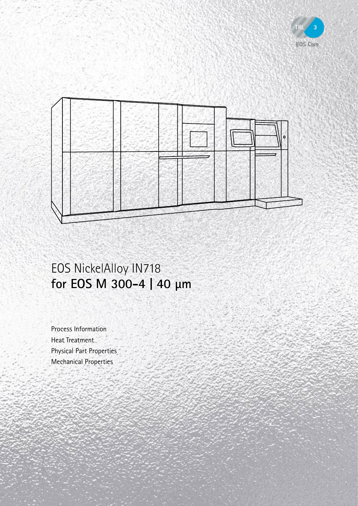



# EOS NickelAlloy IN718 **for EOS M 300-4 | 40 µm**

Process Information Heat Treatment Physical Part Properties Mechanical Properties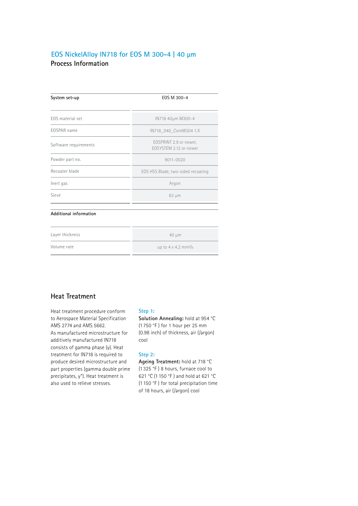## **Process Information EOS NickelAlloy IN718 for EOS M 300-4 | 40 µm**

| System set-up          | EOS M 300-4                                      |
|------------------------|--------------------------------------------------|
| EOS material set       | IN718 40um M300-4                                |
| EOSPAR name            | IN718_040_CoreM304 1.X                           |
| Software requirements  | EOSPRINT 2.9 or newer.<br>FOSYSTEM 2.12 or newer |
| Powder part no.        | 9011-0020                                        |
| Recoater blade         | EOS HSS Blade, two-sided recoating               |
| Inert gas              | Argon                                            |
| Sieve                  | 63 µm                                            |
| Additional information |                                                  |
| Layer thickness        | 40 µm                                            |
| Volume rate            | up to $4 \times 4.2$ mm <sup>3</sup> /s          |

## **Heat Treatment**

Heat treatment procedure conform to Aerospace Material Specification AMS 2774 and AMS 5662. As manufactured microstructure for additively manufactured IN718 consists of gamma phase (γ). Heat treatment for IN718 is required to produce desired microstructure and part properties (gamma double prime precipitates, γ"). Heat treatment is also used to relieve stresses.

#### **Step 1:**

**Solution Annealing:** hold at 954 °C (1 750 °F ) for 1 hour per 25 mm (0.98 inch) of thickness, air (/argon) cool

#### **Step 2:**

**Ageing Treatment:** hold at 718 °C (1 325 °F ) 8 hours, furnace cool to 621 °C (1 150 °F ) and hold at 621 °C (1 150 °F ) for total precipitation time of 18 hours, air (/argon) cool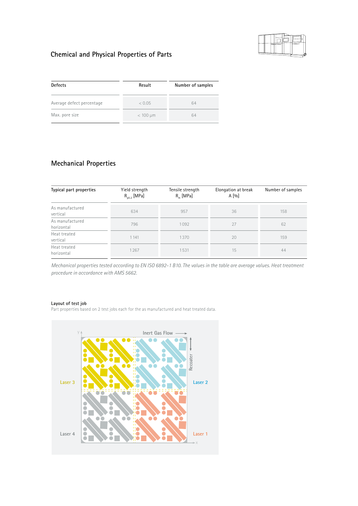

## **Chemical and Physical Properties of Parts**

| <b>Defects</b>            | Result        | Number of samples |  |
|---------------------------|---------------|-------------------|--|
| Average defect percentage | < 0.05        | 64                |  |
| Max. pore size            | $< 100 \mu m$ | 64                |  |

## **Mechanical Properties**

| Typical part properties       | Yield strength<br>$R_{p0.2}$ [MPa] | Tensile strength<br>$R_m$ [MPa] | Elongation at break<br>A[%] | Number of samples |
|-------------------------------|------------------------------------|---------------------------------|-----------------------------|-------------------|
| As manufactured<br>vertical   | 634                                | 957                             | 36                          | 158               |
| As manufactured<br>horizontal | 796                                | 1092                            | 27                          | 62                |
| Heat treated<br>vertical      | 1 1 4 1                            | 1370                            | 20                          | 159               |
| Heat treated<br>horizontal    | 1267                               | 1531                            | 15                          | 44                |

*Mechanical properties tested according to EN ISO 6892-1 B10. The values in the table are average values. Heat treatment procedure in accordance with AMS 5662.*

#### **Layout of test job**

Part properties based on 2 test jobs each for the as manufactured and heat treated data.

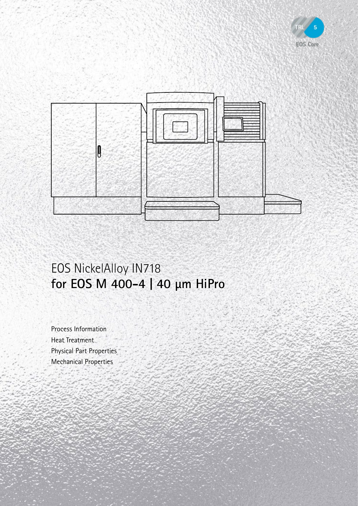



# EOS NickelAlloy IN718 **for EOS M 400-4 | 40 µm HiPro**

Process Information Heat Treatment Physical Part Properties Mechanical Properties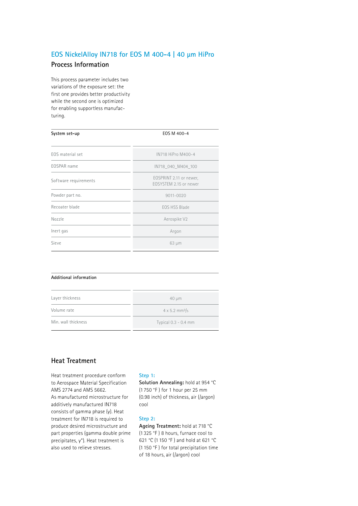### **EOS NickelAlloy IN718 for EOS M 400-4 | 40 µm HiPro**

### **Process Information**

This process parameter includes two variations of the exposure set: the first one provides better productivity while the second one is optimized for enabling supportless manufacturing.

| System set-up         | EOS M 400-4                                       |  |  |  |
|-----------------------|---------------------------------------------------|--|--|--|
| EOS material set      | IN718 HiPro M400-4                                |  |  |  |
| EOSPAR name           | IN718 040 M404 100                                |  |  |  |
| Software requirements | EOSPRINT 2.11 or newer,<br>FOSYSTEM 2.15 or newer |  |  |  |
| Powder part no.       | 9011-0020                                         |  |  |  |
| Recoater blade        | FOS HSS Blade                                     |  |  |  |
| Nozzle                | Aerospike V2                                      |  |  |  |
| Inert gas             | Argon                                             |  |  |  |
| Sieve                 | $63 \mu m$                                        |  |  |  |

| Additional information |                                   |  |  |  |
|------------------------|-----------------------------------|--|--|--|
| Layer thickness        | $40 \mu m$                        |  |  |  |
| Volume rate            | $4 \times 5.2$ mm <sup>3</sup> /s |  |  |  |
| Min. wall thickness    | Typical 0.3 - 0.4 mm              |  |  |  |

### **Heat Treatment**

Heat treatment procedure conform to Aerospace Material Specification AMS 2774 and AMS 5662. As manufactured microstructure for additively manufactured IN718 consists of gamma phase (γ). Heat treatment for IN718 is required to produce desired microstructure and part properties (gamma double prime precipitates, γ"). Heat treatment is also used to relieve stresses.

#### **Step 1:**

**Solution Annealing:** hold at 954 °C (1 750 °F ) for 1 hour per 25 mm (0.98 inch) of thickness, air (/argon) cool

#### **Step 2:**

**Ageing Treatment:** hold at 718 °C (1 325 °F ) 8 hours, furnace cool to 621 °C (1 150 °F ) and hold at 621 °C (1 150 °F ) for total precipitation time of 18 hours, air (/argon) cool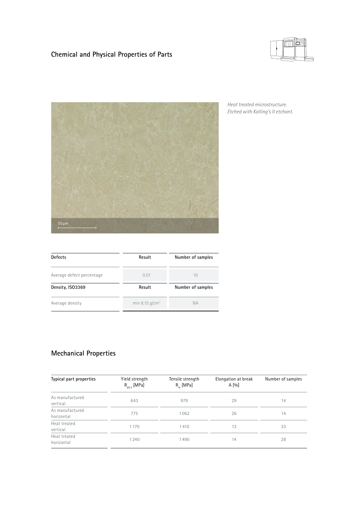## **Chemical and Physical Properties of Parts**





*Heat treated microstructure. Etched with Kalling's II etchant.*

| Defects                   | Result            | Number of samples<br>10<br>Number of samples |  |
|---------------------------|-------------------|----------------------------------------------|--|
| Average defect percentage | 0.01              |                                              |  |
| Density, ISO3369          | Result            |                                              |  |
| Average density           | min 8.15 $q/cm^3$ | <b>NA</b>                                    |  |

## **Mechanical Properties**

| Typical part properties       | Yield strength<br>$R_{p0.2}$ [MPa] | Tensile strength<br>$R_{m}$ [MPa] | Elongation at break<br>A[%] | Number of samples |
|-------------------------------|------------------------------------|-----------------------------------|-----------------------------|-------------------|
| As manufactured<br>vertical   | 643                                | 979                               | 29                          | 14                |
| As manufactured<br>horizontal | 775                                | 1062                              | 26                          | 14                |
| Heat treated<br>vertical      | 1 1 7 0                            | 1410                              | 13                          | 33                |
| Heat treated<br>horizontal    | 1240                               | 1490                              | 14                          | 28                |